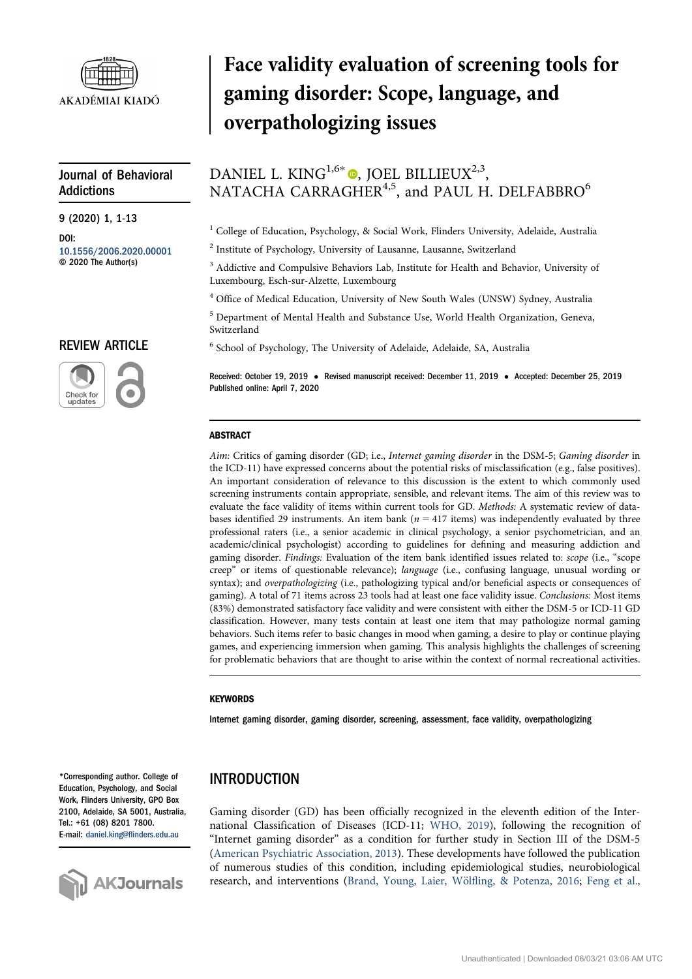

# Journal of Behavioral Addictions

9 (2020) 1, 1-13

DOI: [10.1556/2006.2020.00001](http://dx.doi.org/10.1556/2006.2020.00001) © 2020 The Author(s)

# REVIEW ARTICLE



# Face validity evaluation of screening tools for gaming disorder: Scope, language, and overpathologizing issues

# DANIEL L. KING<sup>1[,](https://orcid.org/0000-0002-1762-2581)6\*</sup>  $\bullet$ , JOEL BILLIEUX<sup>2,3</sup>, NATACHA CARRAGHER<sup>4,5</sup>, and PAUL H. DELFABBRO<sup>6</sup>

 $1$  College of Education, Psychology, & Social Work, Flinders University, Adelaide, Australia

<sup>2</sup> Institute of Psychology, University of Lausanne, Lausanne, Switzerland

<sup>3</sup> Addictive and Compulsive Behaviors Lab, Institute for Health and Behavior, University of Luxembourg, Esch-sur-Alzette, Luxembourg

<sup>4</sup> Office of Medical Education, University of New South Wales (UNSW) Sydney, Australia

<sup>5</sup> Department of Mental Health and Substance Use, World Health Organization, Geneva, Switzerland

<sup>6</sup> School of Psychology, The University of Adelaide, Adelaide, SA, Australia

Received: October 19, 2019 • Revised manuscript received: December 11, 2019 • Accepted: December 25, 2019 Published online: April 7, 2020

#### ABSTRACT

Aim: Critics of gaming disorder (GD; i.e., Internet gaming disorder in the DSM-5; Gaming disorder in the ICD-11) have expressed concerns about the potential risks of misclassification (e.g., false positives). An important consideration of relevance to this discussion is the extent to which commonly used screening instruments contain appropriate, sensible, and relevant items. The aim of this review was to evaluate the face validity of items within current tools for GD. Methods: A systematic review of databases identified 29 instruments. An item bank ( $n = 417$  items) was independently evaluated by three professional raters (i.e., a senior academic in clinical psychology, a senior psychometrician, and an academic/clinical psychologist) according to guidelines for defining and measuring addiction and gaming disorder. Findings: Evaluation of the item bank identified issues related to: scope (i.e., "scope creep" or items of questionable relevance); language (i.e., confusing language, unusual wording or syntax); and overpathologizing (i.e., pathologizing typical and/or beneficial aspects or consequences of gaming). A total of 71 items across 23 tools had at least one face validity issue. Conclusions: Most items (83%) demonstrated satisfactory face validity and were consistent with either the DSM-5 or ICD-11 GD classification. However, many tests contain at least one item that may pathologize normal gaming behaviors. Such items refer to basic changes in mood when gaming, a desire to play or continue playing games, and experiencing immersion when gaming. This analysis highlights the challenges of screening for problematic behaviors that are thought to arise within the context of normal recreational activities.

#### **KEYWORDS**

Internet gaming disorder, gaming disorder, screening, assessment, face validity, overpathologizing

# INTRODUCTION

Gaming disorder (GD) has been officially recognized in the eleventh edition of the International Classification of Diseases (ICD-11; [WHO, 2019](#page-12-0)), following the recognition of "Internet gaming disorder" as a condition for further study in Section III of the DSM-5 ([American Psychiatric Association, 2013\)](#page-10-0). These developments have followed the publication of numerous studies of this condition, including epidemiological studies, neurobiological research, and interventions ([Brand, Young, Laier, W](#page-10-1)ölfl[ing, & Potenza, 2016;](#page-10-1) [Feng et al.,](#page-11-0)

\*Corresponding author. College of Education, Psychology, and Social Work, Flinders University, GPO Box 2100, Adelaide, SA 5001, Australia, Tel.: +61 (08) 8201 7800. E-mail: daniel.king@fl[inders.edu.au](mailto:daniel.king@flinders.edu.au)

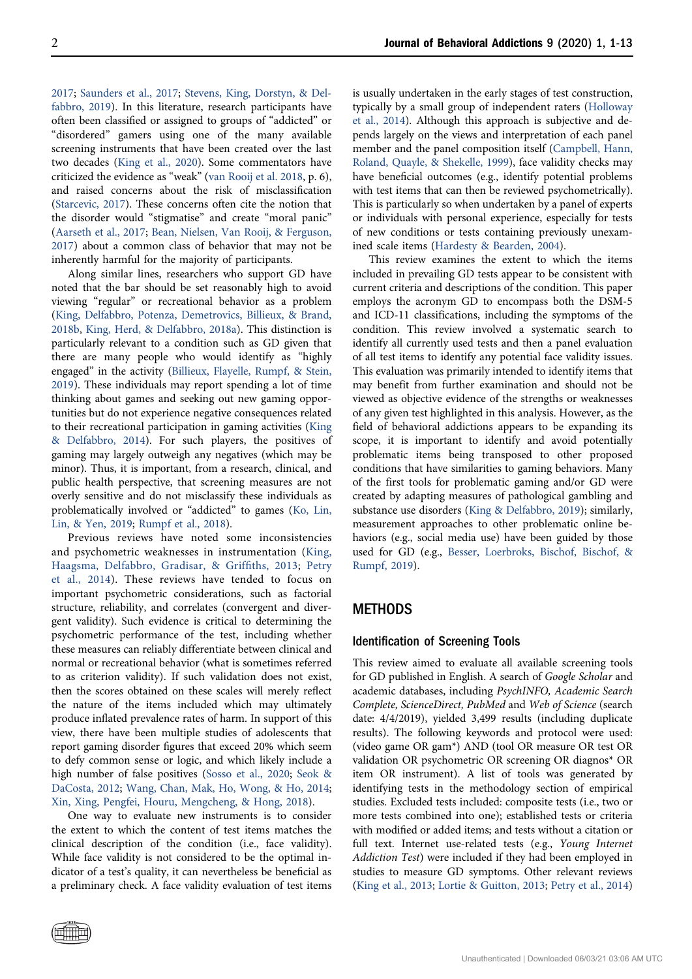[2017](#page-11-0); [Saunders et al., 2017](#page-12-1); [Stevens, King, Dorstyn, & Del](#page-12-2)[fabbro, 2019\)](#page-12-2). In this literature, research participants have often been classified or assigned to groups of "addicted" or "disordered" gamers using one of the many available screening instruments that have been created over the last two decades [\(King et al., 2020\)](#page-11-1). Some commentators have criticized the evidence as "weak" ([van Rooij et al. 2018](#page-12-3), p. 6), and raised concerns about the risk of misclassification ([Starcevic, 2017\)](#page-12-4). These concerns often cite the notion that the disorder would "stigmatise" and create "moral panic" ([Aarseth et al., 2017](#page-10-2); [Bean, Nielsen, Van Rooij, & Ferguson,](#page-10-3) [2017](#page-10-3)) about a common class of behavior that may not be inherently harmful for the majority of participants.

Along similar lines, researchers who support GD have noted that the bar should be set reasonably high to avoid viewing "regular" or recreational behavior as a problem ([King, Delfabbro, Potenza, Demetrovics, Billieux, & Brand,](#page-11-2) [2018b](#page-11-2), [King, Herd, & Delfabbro, 2018a\)](#page-11-3). This distinction is particularly relevant to a condition such as GD given that there are many people who would identify as "highly engaged" in the activity ([Billieux, Flayelle, Rumpf, & Stein,](#page-10-4) [2019](#page-10-4)). These individuals may report spending a lot of time thinking about games and seeking out new gaming opportunities but do not experience negative consequences related to their recreational participation in gaming activities [\(King](#page-11-4) [& Delfabbro, 2014](#page-11-4)). For such players, the positives of gaming may largely outweigh any negatives (which may be minor). Thus, it is important, from a research, clinical, and public health perspective, that screening measures are not overly sensitive and do not misclassify these individuals as problematically involved or "addicted" to games ([Ko, Lin,](#page-11-5) [Lin, & Yen, 2019;](#page-11-5) [Rumpf et al., 2018](#page-12-5)).

Previous reviews have noted some inconsistencies and psychometric weaknesses in instrumentation [\(King,](#page-11-6) [Haagsma, Delfabbro, Gradisar, & Grif](#page-11-6)fiths, 2013; [Petry](#page-11-7) [et al., 2014](#page-11-7)). These reviews have tended to focus on important psychometric considerations, such as factorial structure, reliability, and correlates (convergent and divergent validity). Such evidence is critical to determining the psychometric performance of the test, including whether these measures can reliably differentiate between clinical and normal or recreational behavior (what is sometimes referred to as criterion validity). If such validation does not exist, then the scores obtained on these scales will merely reflect the nature of the items included which may ultimately produce inflated prevalence rates of harm. In support of this view, there have been multiple studies of adolescents that report gaming disorder figures that exceed 20% which seem to defy common sense or logic, and which likely include a high number of false positives [\(Sosso et al., 2020](#page-12-6); [Seok &](#page-12-7) [DaCosta, 2012](#page-12-7); [Wang, Chan, Mak, Ho, Wong, & Ho, 2014](#page-12-8); [Xin, Xing, Pengfei, Houru, Mengcheng, & Hong, 2018](#page-12-9)).

One way to evaluate new instruments is to consider the extent to which the content of test items matches the clinical description of the condition (i.e., face validity). While face validity is not considered to be the optimal indicator of a test's quality, it can nevertheless be beneficial as a preliminary check. A face validity evaluation of test items

is usually undertaken in the early stages of test construction, typically by a small group of independent raters [\(Holloway](#page-11-8) [et al., 2014\)](#page-11-8). Although this approach is subjective and depends largely on the views and interpretation of each panel member and the panel composition itself ([Campbell, Hann,](#page-10-5) [Roland, Quayle, & Shekelle, 1999\)](#page-10-5), face validity checks may have beneficial outcomes (e.g., identify potential problems with test items that can then be reviewed psychometrically). This is particularly so when undertaken by a panel of experts or individuals with personal experience, especially for tests of new conditions or tests containing previously unexamined scale items [\(Hardesty & Bearden, 2004\)](#page-11-9).

This review examines the extent to which the items included in prevailing GD tests appear to be consistent with current criteria and descriptions of the condition. This paper employs the acronym GD to encompass both the DSM-5 and ICD-11 classifications, including the symptoms of the condition. This review involved a systematic search to identify all currently used tests and then a panel evaluation of all test items to identify any potential face validity issues. This evaluation was primarily intended to identify items that may benefit from further examination and should not be viewed as objective evidence of the strengths or weaknesses of any given test highlighted in this analysis. However, as the field of behavioral addictions appears to be expanding its scope, it is important to identify and avoid potentially problematic items being transposed to other proposed conditions that have similarities to gaming behaviors. Many of the first tools for problematic gaming and/or GD were created by adapting measures of pathological gambling and substance use disorders [\(King & Delfabbro, 2019](#page-11-10)); similarly, measurement approaches to other problematic online behaviors (e.g., social media use) have been guided by those used for GD (e.g., [Besser, Loerbroks, Bischof, Bischof, &](#page-10-6) [Rumpf, 2019\)](#page-10-6).

## METHODS

#### Identification of Screening Tools

This review aimed to evaluate all available screening tools for GD published in English. A search of Google Scholar and academic databases, including PsychINFO, Academic Search Complete, ScienceDirect, PubMed and Web of Science (search date: 4/4/2019), yielded 3,499 results (including duplicate results). The following keywords and protocol were used: (video game OR gam\*) AND (tool OR measure OR test OR validation OR psychometric OR screening OR diagnos\* OR item OR instrument). A list of tools was generated by identifying tests in the methodology section of empirical studies. Excluded tests included: composite tests (i.e., two or more tests combined into one); established tests or criteria with modified or added items; and tests without a citation or full text. Internet use-related tests (e.g., Young Internet Addiction Test) were included if they had been employed in studies to measure GD symptoms. Other relevant reviews ([King et al., 2013](#page-11-6); [Lortie & Guitton, 2013;](#page-11-11) [Petry et al., 2014](#page-11-7))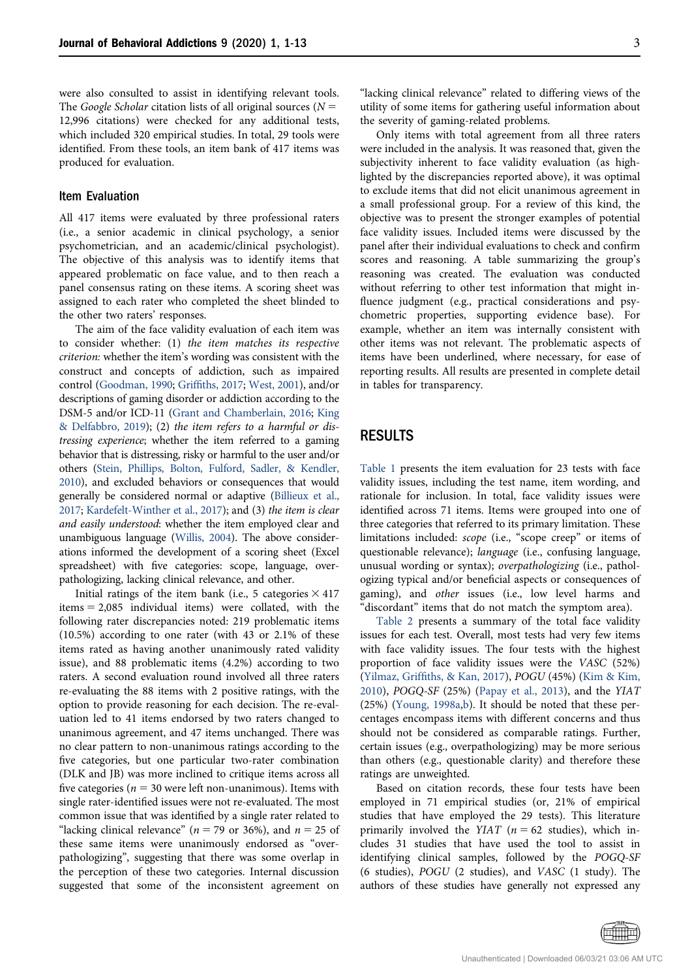were also consulted to assist in identifying relevant tools. The Google Scholar citation lists of all original sources ( $N =$ 12,996 citations) were checked for any additional tests, which included 320 empirical studies. In total, 29 tools were identified. From these tools, an item bank of 417 items was produced for evaluation.

### Item Evaluation

All 417 items were evaluated by three professional raters (i.e., a senior academic in clinical psychology, a senior psychometrician, and an academic/clinical psychologist). The objective of this analysis was to identify items that appeared problematic on face value, and to then reach a panel consensus rating on these items. A scoring sheet was assigned to each rater who completed the sheet blinded to the other two raters' responses.

The aim of the face validity evaluation of each item was to consider whether: (1) the item matches its respective criterion: whether the item's wording was consistent with the construct and concepts of addiction, such as impaired control [\(Goodman, 1990](#page-11-12); Griffi[ths, 2017](#page-11-13); [West, 2001](#page-12-10)), and/or descriptions of gaming disorder or addiction according to the DSM-5 and/or ICD-11 [\(Grant and Chamberlain, 2016;](#page-11-14) [King](#page-11-10) [& Delfabbro, 2019](#page-11-10)); (2) the item refers to a harmful or distressing experience; whether the item referred to a gaming behavior that is distressing, risky or harmful to the user and/or others [\(Stein, Phillips, Bolton, Fulford, Sadler, & Kendler,](#page-12-11) [2010\)](#page-12-11), and excluded behaviors or consequences that would generally be considered normal or adaptive [\(Billieux et al.,](#page-10-7) [2017;](#page-10-7) [Kardefelt-Winther et al., 2017](#page-11-15)); and (3) the item is clear and easily understood: whether the item employed clear and unambiguous language ([Willis, 2004\)](#page-12-12). The above considerations informed the development of a scoring sheet (Excel spreadsheet) with five categories: scope, language, overpathologizing, lacking clinical relevance, and other.

Initial ratings of the item bank (i.e., 5 categories  $\times$  417 items  $= 2,085$  individual items) were collated, with the following rater discrepancies noted: 219 problematic items (10.5%) according to one rater (with 43 or 2.1% of these items rated as having another unanimously rated validity issue), and 88 problematic items (4.2%) according to two raters. A second evaluation round involved all three raters re-evaluating the 88 items with 2 positive ratings, with the option to provide reasoning for each decision. The re-evaluation led to 41 items endorsed by two raters changed to unanimous agreement, and 47 items unchanged. There was no clear pattern to non-unanimous ratings according to the five categories, but one particular two-rater combination (DLK and JB) was more inclined to critique items across all five categories ( $n = 30$  were left non-unanimous). Items with single rater-identified issues were not re-evaluated. The most common issue that was identified by a single rater related to "lacking clinical relevance" ( $n = 79$  or 36%), and  $n = 25$  of these same items were unanimously endorsed as "overpathologizing", suggesting that there was some overlap in the perception of these two categories. Internal discussion suggested that some of the inconsistent agreement on

"lacking clinical relevance" related to differing views of the utility of some items for gathering useful information about the severity of gaming-related problems.

Only items with total agreement from all three raters were included in the analysis. It was reasoned that, given the subjectivity inherent to face validity evaluation (as highlighted by the discrepancies reported above), it was optimal to exclude items that did not elicit unanimous agreement in a small professional group. For a review of this kind, the objective was to present the stronger examples of potential face validity issues. Included items were discussed by the panel after their individual evaluations to check and confirm scores and reasoning. A table summarizing the group's reasoning was created. The evaluation was conducted without referring to other test information that might influence judgment (e.g., practical considerations and psychometric properties, supporting evidence base). For example, whether an item was internally consistent with other items was not relevant. The problematic aspects of items have been underlined, where necessary, for ease of reporting results. All results are presented in complete detail in tables for transparency.

# RESULTS

[Table 1](#page-3-0) presents the item evaluation for 23 tests with face validity issues, including the test name, item wording, and rationale for inclusion. In total, face validity issues were identified across 71 items. Items were grouped into one of three categories that referred to its primary limitation. These limitations included: scope (i.e., "scope creep" or items of questionable relevance); language (i.e., confusing language, unusual wording or syntax); overpathologizing (i.e., pathologizing typical and/or beneficial aspects or consequences of gaming), and other issues (i.e., low level harms and 'discordant" items that do not match the symptom area).

[Table 2](#page-8-0) presents a summary of the total face validity issues for each test. Overall, most tests had very few items with face validity issues. The four tests with the highest proportion of face validity issues were the VASC (52%) (Yilmaz, Griffi[ths, & Kan, 2017](#page-12-13)), POGU (45%) ([Kim & Kim,](#page-11-16) [2010\)](#page-11-16), POGQ-SF (25%) [\(Papay et al., 2013](#page-11-17)), and the YIAT (25%) ([Young, 1998a](#page-12-14)[,b](#page-12-15)). It should be noted that these percentages encompass items with different concerns and thus should not be considered as comparable ratings. Further, certain issues (e.g., overpathologizing) may be more serious than others (e.g., questionable clarity) and therefore these ratings are unweighted.

Based on citation records, these four tests have been employed in 71 empirical studies (or, 21% of empirical studies that have employed the 29 tests). This literature primarily involved the YIAT ( $n = 62$  studies), which includes 31 studies that have used the tool to assist in identifying clinical samples, followed by the POGQ-SF (6 studies), POGU (2 studies), and VASC (1 study). The authors of these studies have generally not expressed any

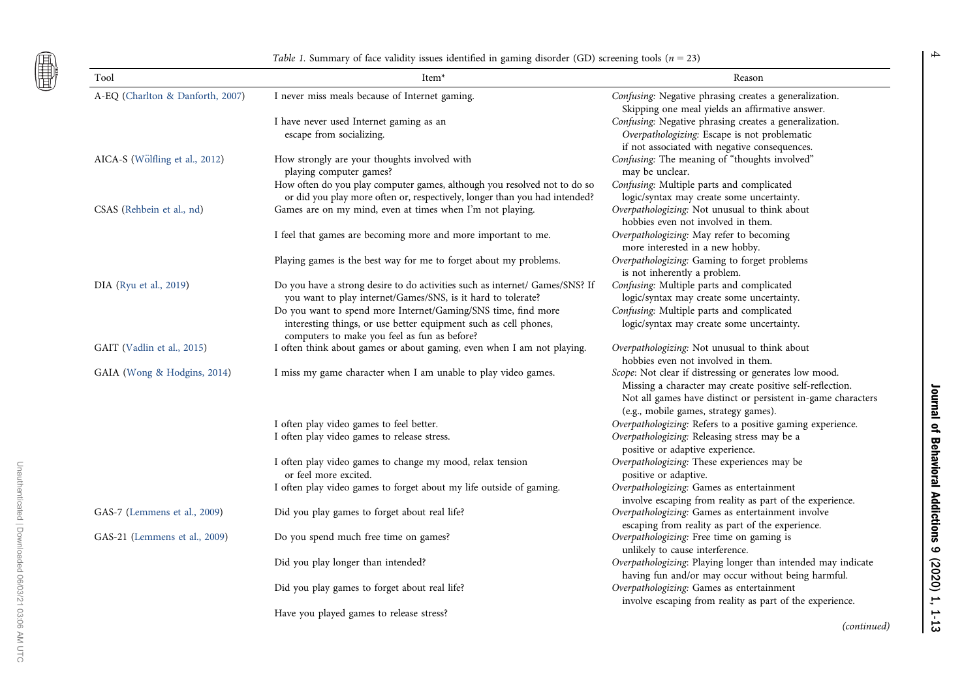<span id="page-3-0"></span>團

Unauthenticated | Downloaded 06/03/21 03:06 AM UTC

Unauthenticated | Downloaded 06/03/21 03:06 AM UTC

Table 1. Summary of face validity issues identified in gaming disorder (GD) screening tools ( $n = 23$ )

| Tool                             | Item <sup>*</sup>                                                                                                                                                                 | Reason                                                                                                                                                                                                                      |
|----------------------------------|-----------------------------------------------------------------------------------------------------------------------------------------------------------------------------------|-----------------------------------------------------------------------------------------------------------------------------------------------------------------------------------------------------------------------------|
| A-EQ (Charlton & Danforth, 2007) | I never miss meals because of Internet gaming.                                                                                                                                    | Confusing: Negative phrasing creates a generalization.<br>Skipping one meal yields an affirmative answer.                                                                                                                   |
|                                  | I have never used Internet gaming as an<br>escape from socializing.                                                                                                               | Confusing: Negative phrasing creates a generalization.<br>Overpathologizing: Escape is not problematic                                                                                                                      |
| AICA-S (Wölfling et al., 2012)   | How strongly are your thoughts involved with<br>playing computer games?                                                                                                           | if not associated with negative consequences.<br>Confusing: The meaning of "thoughts involved"<br>may be unclear.                                                                                                           |
|                                  | How often do you play computer games, although you resolved not to do so<br>or did you play more often or, respectively, longer than you had intended?                            | Confusing: Multiple parts and complicated<br>logic/syntax may create some uncertainty.                                                                                                                                      |
| CSAS (Rehbein et al., nd)        | Games are on my mind, even at times when I'm not playing.                                                                                                                         | Overpathologizing: Not unusual to think about<br>hobbies even not involved in them.                                                                                                                                         |
|                                  | I feel that games are becoming more and more important to me.                                                                                                                     | Overpathologizing: May refer to becoming<br>more interested in a new hobby.                                                                                                                                                 |
|                                  | Playing games is the best way for me to forget about my problems.                                                                                                                 | Overpathologizing: Gaming to forget problems<br>is not inherently a problem.                                                                                                                                                |
| DIA (Ryu et al., 2019)           | Do you have a strong desire to do activities such as internet/ Games/SNS? If<br>you want to play internet/Games/SNS, is it hard to tolerate?                                      | Confusing: Multiple parts and complicated<br>logic/syntax may create some uncertainty.                                                                                                                                      |
|                                  | Do you want to spend more Internet/Gaming/SNS time, find more<br>interesting things, or use better equipment such as cell phones,<br>computers to make you feel as fun as before? | Confusing: Multiple parts and complicated<br>logic/syntax may create some uncertainty.                                                                                                                                      |
| GAIT (Vadlin et al., 2015)       | I often think about games or about gaming, even when I am not playing.                                                                                                            | Overpathologizing: Not unusual to think about<br>hobbies even not involved in them.                                                                                                                                         |
| GAIA (Wong & Hodgins, 2014)      | I miss my game character when I am unable to play video games.                                                                                                                    | Scope: Not clear if distressing or generates low mood.<br>Missing a character may create positive self-reflection.<br>Not all games have distinct or persistent in-game characters<br>(e.g., mobile games, strategy games). |
|                                  | I often play video games to feel better.                                                                                                                                          | Overpathologizing: Refers to a positive gaming experience.                                                                                                                                                                  |
|                                  | I often play video games to release stress.                                                                                                                                       | Overpathologizing: Releasing stress may be a<br>positive or adaptive experience.                                                                                                                                            |
|                                  | I often play video games to change my mood, relax tension<br>or feel more excited.                                                                                                | Overpathologizing: These experiences may be<br>positive or adaptive.                                                                                                                                                        |
|                                  | I often play video games to forget about my life outside of gaming.                                                                                                               | Overpathologizing: Games as entertainment<br>involve escaping from reality as part of the experience.                                                                                                                       |
| GAS-7 (Lemmens et al., 2009)     | Did you play games to forget about real life?                                                                                                                                     | Overpathologizing: Games as entertainment involve<br>escaping from reality as part of the experience.                                                                                                                       |
| GAS-21 (Lemmens et al., 2009)    | Do you spend much free time on games?                                                                                                                                             | Overpathologizing: Free time on gaming is<br>unlikely to cause interference.                                                                                                                                                |
|                                  | Did you play longer than intended?                                                                                                                                                | Overpathologizing: Playing longer than intended may indicate<br>having fun and/or may occur without being harmful.                                                                                                          |
|                                  | Did you play games to forget about real life?                                                                                                                                     | Overpathologizing: Games as entertainment<br>involve escaping from reality as part of the experience.                                                                                                                       |
|                                  | Have you played games to release stress?                                                                                                                                          |                                                                                                                                                                                                                             |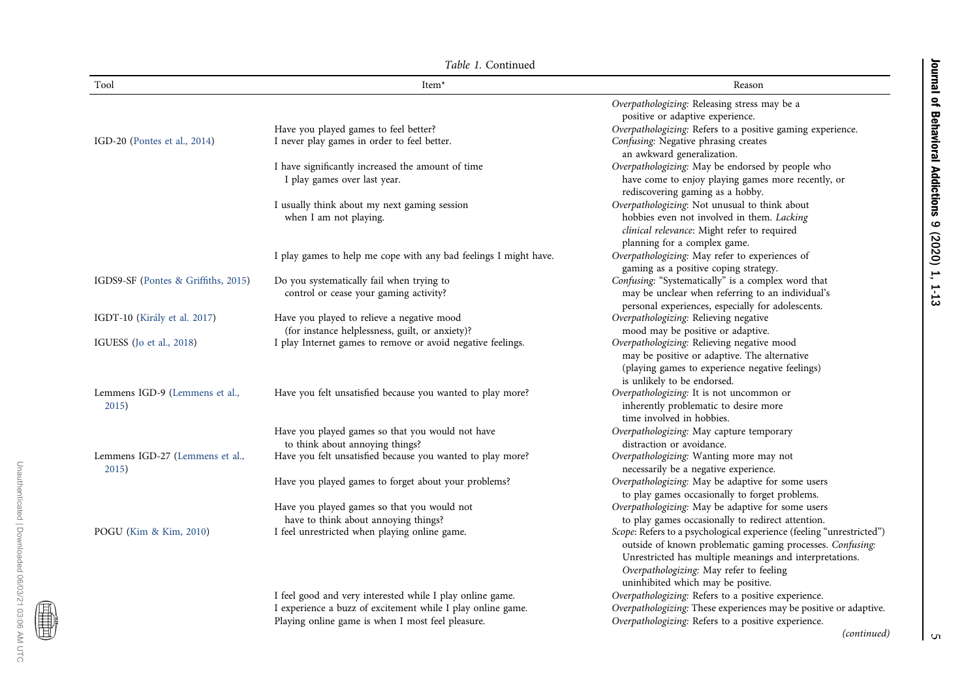Journal of Behavioral Addictions 9 (2020) 1, 1-13 Journal of Behavioral Addictions 9 (2020) 1, 1-13

|  | Table 1. Continued |
|--|--------------------|
|  |                    |

| Tool                                     | Item <sup>*</sup>                                                                             | Reason                                                                                                                                                                                                                                                                        |
|------------------------------------------|-----------------------------------------------------------------------------------------------|-------------------------------------------------------------------------------------------------------------------------------------------------------------------------------------------------------------------------------------------------------------------------------|
|                                          |                                                                                               | Overpathologizing: Releasing stress may be a<br>positive or adaptive experience.                                                                                                                                                                                              |
|                                          | Have you played games to feel better?                                                         | Overpathologizing: Refers to a positive gaming experience.                                                                                                                                                                                                                    |
| IGD-20 (Pontes et al., 2014)             | I never play games in order to feel better.                                                   | Confusing: Negative phrasing creates<br>an awkward generalization.                                                                                                                                                                                                            |
|                                          | I have significantly increased the amount of time                                             | Overpathologizing: May be endorsed by people who                                                                                                                                                                                                                              |
|                                          | I play games over last year.                                                                  | have come to enjoy playing games more recently, or<br>rediscovering gaming as a hobby.                                                                                                                                                                                        |
|                                          | I usually think about my next gaming session                                                  | Overpathologizing: Not unusual to think about                                                                                                                                                                                                                                 |
|                                          | when I am not playing.                                                                        | hobbies even not involved in them. Lacking<br>clinical relevance: Might refer to required<br>planning for a complex game.                                                                                                                                                     |
|                                          | I play games to help me cope with any bad feelings I might have.                              | Overpathologizing: May refer to experiences of<br>gaming as a positive coping strategy.                                                                                                                                                                                       |
| IGDS9-SF (Pontes & Griffiths, 2015)      | Do you systematically fail when trying to                                                     | Confusing: "Systematically" is a complex word that                                                                                                                                                                                                                            |
|                                          | control or cease your gaming activity?                                                        | may be unclear when referring to an individual's<br>personal experiences, especially for adolescents.                                                                                                                                                                         |
| IGDT-10 (Király et al. 2017)             | Have you played to relieve a negative mood<br>(for instance helplessness, guilt, or anxiety)? | Overpathologizing: Relieving negative<br>mood may be positive or adaptive.                                                                                                                                                                                                    |
| IGUESS (Jo et al., 2018)                 | I play Internet games to remove or avoid negative feelings.                                   | Overpathologizing: Relieving negative mood<br>may be positive or adaptive. The alternative<br>(playing games to experience negative feelings)<br>is unlikely to be endorsed.                                                                                                  |
| Lemmens IGD-9 (Lemmens et al.,<br>2015)  | Have you felt unsatisfied because you wanted to play more?                                    | Overpathologizing: It is not uncommon or<br>inherently problematic to desire more<br>time involved in hobbies.                                                                                                                                                                |
|                                          | Have you played games so that you would not have<br>to think about annoying things?           | Overpathologizing: May capture temporary<br>distraction or avoidance.                                                                                                                                                                                                         |
| Lemmens IGD-27 (Lemmens et al.,<br>2015) | Have you felt unsatisfied because you wanted to play more?                                    | Overpathologizing: Wanting more may not<br>necessarily be a negative experience.                                                                                                                                                                                              |
|                                          | Have you played games to forget about your problems?                                          | Overpathologizing: May be adaptive for some users<br>to play games occasionally to forget problems.                                                                                                                                                                           |
|                                          | Have you played games so that you would not                                                   | Overpathologizing: May be adaptive for some users                                                                                                                                                                                                                             |
|                                          | have to think about annoying things?                                                          | to play games occasionally to redirect attention.                                                                                                                                                                                                                             |
| POGU (Kim & Kim, 2010)                   | I feel unrestricted when playing online game.                                                 | Scope: Refers to a psychological experience (feeling "unrestricted")<br>outside of known problematic gaming processes. Confusing:<br>Unrestricted has multiple meanings and interpretations.<br>Overpathologizing: May refer to feeling<br>uninhibited which may be positive. |
|                                          | I feel good and very interested while I play online game.                                     | Overpathologizing: Refers to a positive experience.                                                                                                                                                                                                                           |
|                                          | I experience a buzz of excitement while I play online game.                                   | Overpathologizing: These experiences may be positive or adaptive.                                                                                                                                                                                                             |
|                                          | Playing online game is when I most feel pleasure.                                             | Overpathologizing: Refers to a positive experience.                                                                                                                                                                                                                           |

O

(continued)

 $\sqrt{2}$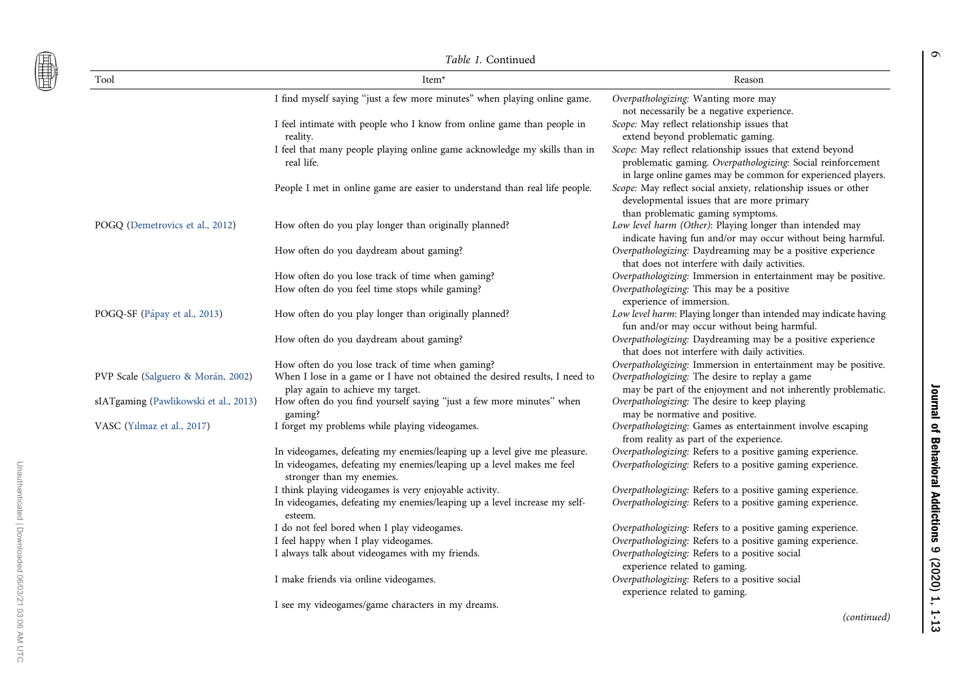僵

Unauthenticated | Downloaded 06/03/21 03:06 AM UTC

Unauthenticated | Downloaded 06/03/21 03:06 AM UTC

|                                       | <i>Table 1.</i> Continued                                                                                       |                                                                                                                                                                                          |  |  |  |  |  |  |
|---------------------------------------|-----------------------------------------------------------------------------------------------------------------|------------------------------------------------------------------------------------------------------------------------------------------------------------------------------------------|--|--|--|--|--|--|
| Tool                                  | Item <sup>*</sup>                                                                                               | Reason                                                                                                                                                                                   |  |  |  |  |  |  |
|                                       | I find myself saying "just a few more minutes" when playing online game.                                        | Overpathologizing: Wanting more may<br>not necessarily be a negative experience.                                                                                                         |  |  |  |  |  |  |
|                                       | I feel intimate with people who I know from online game than people in<br>reality.                              | Scope: May reflect relationship issues that<br>extend beyond problematic gaming.                                                                                                         |  |  |  |  |  |  |
|                                       | I feel that many people playing online game acknowledge my skills than in<br>real life.                         | Scope: May reflect relationship issues that extend beyond<br>problematic gaming. Overpathologizing: Social reinforcement<br>in large online games may be common for experienced players. |  |  |  |  |  |  |
|                                       | People I met in online game are easier to understand than real life people.                                     | Scope: May reflect social anxiety, relationship issues or other<br>developmental issues that are more primary<br>than problematic gaming symptoms.                                       |  |  |  |  |  |  |
| POGQ (Demetrovics et al., 2012)       | How often do you play longer than originally planned?                                                           | Low level harm (Other): Playing longer than intended may<br>indicate having fun and/or may occur without being harmful.                                                                  |  |  |  |  |  |  |
|                                       | How often do you daydream about gaming?                                                                         | Overpathologizing: Daydreaming may be a positive experience<br>that does not interfere with daily activities.                                                                            |  |  |  |  |  |  |
|                                       | How often do you lose track of time when gaming?                                                                | Overpathologizing: Immersion in entertainment may be positive.                                                                                                                           |  |  |  |  |  |  |
|                                       | How often do you feel time stops while gaming?                                                                  | Overpathologizing: This may be a positive<br>experience of immersion.                                                                                                                    |  |  |  |  |  |  |
| POGQ-SF (Pápay et al., 2013)          | How often do you play longer than originally planned?                                                           | Low level harm: Playing longer than intended may indicate having<br>fun and/or may occur without being harmful.                                                                          |  |  |  |  |  |  |
|                                       | How often do you daydream about gaming?                                                                         | Overpathologizing: Daydreaming may be a positive experience<br>that does not interfere with daily activities.                                                                            |  |  |  |  |  |  |
|                                       | How often do you lose track of time when gaming?                                                                | Overpathologizing: Immersion in entertainment may be positive.                                                                                                                           |  |  |  |  |  |  |
| PVP Scale (Salguero & Morán, 2002)    | When I lose in a game or I have not obtained the desired results, I need to<br>play again to achieve my target. | Overpathologizing: The desire to replay a game<br>may be part of the enjoyment and not inherently problematic.                                                                           |  |  |  |  |  |  |
| sIATgaming (Pawlikowski et al., 2013) | How often do you find yourself saying "just a few more minutes" when<br>gaming?                                 | Overpathologizing: The desire to keep playing<br>may be normative and positive.                                                                                                          |  |  |  |  |  |  |
| VASC (Yılmaz et al., 2017)            | I forget my problems while playing videogames.                                                                  | Overpathologizing: Games as entertainment involve escaping<br>from reality as part of the experience.                                                                                    |  |  |  |  |  |  |
|                                       | In videogames, defeating my enemies/leaping up a level give me pleasure.                                        | Overpathologizing: Refers to a positive gaming experience.                                                                                                                               |  |  |  |  |  |  |
|                                       | In videogames, defeating my enemies/leaping up a level makes me feel<br>stronger than my enemies.               | Overpathologizing: Refers to a positive gaming experience.                                                                                                                               |  |  |  |  |  |  |
|                                       | I think playing videogames is very enjoyable activity.                                                          | Overpathologizing: Refers to a positive gaming experience.                                                                                                                               |  |  |  |  |  |  |
|                                       | In videogames, defeating my enemies/leaping up a level increase my self-<br>esteem.                             | Overpathologizing: Refers to a positive gaming experience.                                                                                                                               |  |  |  |  |  |  |
|                                       | I do not feel bored when I play videogames.                                                                     | Overpathologizing: Refers to a positive gaming experience.                                                                                                                               |  |  |  |  |  |  |
|                                       | I feel happy when I play videogames.                                                                            | Overpathologizing: Refers to a positive gaming experience.                                                                                                                               |  |  |  |  |  |  |
|                                       | I always talk about videogames with my friends.                                                                 | Overpathologizing: Refers to a positive social<br>experience related to gaming.                                                                                                          |  |  |  |  |  |  |
|                                       | I make friends via online videogames.                                                                           | Overpathologizing: Refers to a positive social<br>experience related to gaming.                                                                                                          |  |  |  |  |  |  |
|                                       | I see my videogames/game characters in my dreams.                                                               |                                                                                                                                                                                          |  |  |  |  |  |  |
|                                       |                                                                                                                 | (continued)                                                                                                                                                                              |  |  |  |  |  |  |

Journal of Behavioral Addictions 9 (2020) 1, 1-13 Journal of Behavioral Addictions 9 (2020) 1, 1-13

 $\sigma$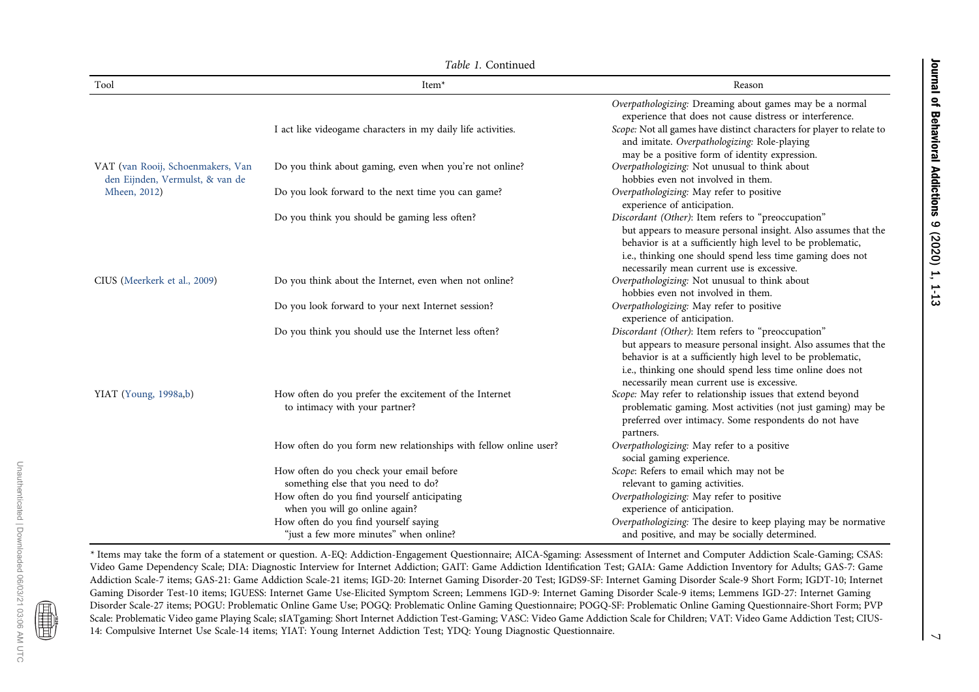Journal of Behavioral Addictions 9 (2020) 1, 1-13 Journal of Behavioral Addictions 9 (2020) 1, 1-13

|  | Table 1. Continued |
|--|--------------------|
|--|--------------------|

| Tool                                                                 | Item <sup>*</sup>                                                                        | Reason                                                                                                                                                                                                                                                                                         |
|----------------------------------------------------------------------|------------------------------------------------------------------------------------------|------------------------------------------------------------------------------------------------------------------------------------------------------------------------------------------------------------------------------------------------------------------------------------------------|
|                                                                      |                                                                                          | Overpathologizing: Dreaming about games may be a normal<br>experience that does not cause distress or interference.                                                                                                                                                                            |
|                                                                      | I act like videogame characters in my daily life activities.                             | Scope: Not all games have distinct characters for player to relate to<br>and imitate. Overpathologizing: Role-playing<br>may be a positive form of identity expression.                                                                                                                        |
| VAT (van Rooij, Schoenmakers, Van<br>den Eijnden, Vermulst, & van de | Do you think about gaming, even when you're not online?                                  | Overpathologizing: Not unusual to think about<br>hobbies even not involved in them.                                                                                                                                                                                                            |
| Mheen, 2012)                                                         | Do you look forward to the next time you can game?                                       | Overpathologizing: May refer to positive<br>experience of anticipation.                                                                                                                                                                                                                        |
|                                                                      | Do you think you should be gaming less often?                                            | Discordant (Other): Item refers to "preoccupation"<br>but appears to measure personal insight. Also assumes that the<br>behavior is at a sufficiently high level to be problematic,<br>i.e., thinking one should spend less time gaming does not<br>necessarily mean current use is excessive. |
| CIUS (Meerkerk et al., 2009)                                         | Do you think about the Internet, even when not online?                                   | Overpathologizing: Not unusual to think about<br>hobbies even not involved in them.                                                                                                                                                                                                            |
|                                                                      | Do you look forward to your next Internet session?                                       | Overpathologizing: May refer to positive<br>experience of anticipation.                                                                                                                                                                                                                        |
|                                                                      | Do you think you should use the Internet less often?                                     | Discordant (Other): Item refers to "preoccupation"<br>but appears to measure personal insight. Also assumes that the<br>behavior is at a sufficiently high level to be problematic,<br>i.e., thinking one should spend less time online does not<br>necessarily mean current use is excessive. |
| YIAT (Young, 1998a,b)                                                | How often do you prefer the excitement of the Internet<br>to intimacy with your partner? | Scope: May refer to relationship issues that extend beyond<br>problematic gaming. Most activities (not just gaming) may be<br>preferred over intimacy. Some respondents do not have<br>partners.                                                                                               |
|                                                                      | How often do you form new relationships with fellow online user?                         | Overpathologizing: May refer to a positive<br>social gaming experience.                                                                                                                                                                                                                        |
|                                                                      | How often do you check your email before<br>something else that you need to do?          | Scope: Refers to email which may not be<br>relevant to gaming activities.                                                                                                                                                                                                                      |
|                                                                      | How often do you find yourself anticipating<br>when you will go online again?            | Overpathologizing: May refer to positive<br>experience of anticipation.                                                                                                                                                                                                                        |
|                                                                      | How often do you find yourself saying<br>"just a few more minutes" when online?          | Overpathologizing: The desire to keep playing may be normative<br>and positive, and may be socially determined.                                                                                                                                                                                |

\* Items may take the form of <sup>a</sup> statement or question. A-EQ: Addiction-Engagement Questionnaire; AICA-Sgaming: Assessment of Internet and Computer Addiction Scale-Gaming; CSAS: Video Game Dependency Scale; DIA: Diagnostic Interview for Internet Addiction; GAIT: Game Addiction Identification Test; GAIA: Game Addiction Inventory for Adults; GAS-7: Game Addiction Scale-7 items; GAS-21: Game Addiction Scale-21 items; IGD-20: Internet Gaming Disorder-20 Test; IGDS9-SF: Internet Gaming Disorder Scale-9 Short Form; IGDT-10; Internet Gaming Disorder Test-10 items; IGUESS: Internet Game Use-Elicited Symptom Screen; Lemmens IGD-9: Internet Gaming Disorder Scale-9 items; Lemmens IGD-27: Internet Gaming Disorder Scale-27 items; POGU: Problematic Online Game Use; POGQ: Problematic Online Gaming Questionnaire; POGQ-SF: Problematic Online Gaming Questionnaire-Short Form; PVP Scale: Problematic Video game Playing Scale; sIATgaming: Short Internet Addiction Test-Gaming; VASC: Video Game Addiction Scale for Children; VAT: Video Game Addiction Test; CIUS-14: Compulsive Internet Use Scale-14 items; YIAT: Young Internet Addiction Test; YDQ: Young Diagnostic Questionnaire.

■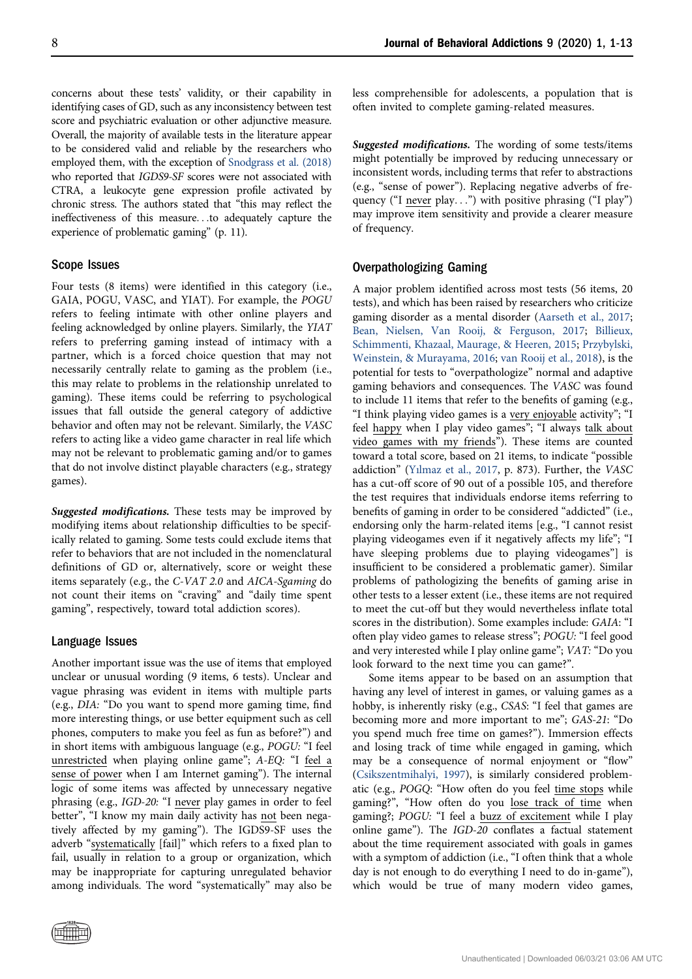concerns about these tests' validity, or their capability in identifying cases of GD, such as any inconsistency between test score and psychiatric evaluation or other adjunctive measure. Overall, the majority of available tests in the literature appear to be considered valid and reliable by the researchers who employed them, with the exception of [Snodgrass et al. \(2018\)](#page-12-26) who reported that IGDS9-SF scores were not associated with CTRA, a leukocyte gene expression profile activated by chronic stress. The authors stated that "this may reflect the ineffectiveness of this measure...to adequately capture the experience of problematic gaming" (p. 11).

#### Scope Issues

Four tests (8 items) were identified in this category (i.e., GAIA, POGU, VASC, and YIAT). For example, the POGU refers to feeling intimate with other online players and feeling acknowledged by online players. Similarly, the YIAT refers to preferring gaming instead of intimacy with a partner, which is a forced choice question that may not necessarily centrally relate to gaming as the problem (i.e., this may relate to problems in the relationship unrelated to gaming). These items could be referring to psychological issues that fall outside the general category of addictive behavior and often may not be relevant. Similarly, the VASC refers to acting like a video game character in real life which may not be relevant to problematic gaming and/or to games that do not involve distinct playable characters (e.g., strategy games).

Suggested modifications. These tests may be improved by modifying items about relationship difficulties to be specifically related to gaming. Some tests could exclude items that refer to behaviors that are not included in the nomenclatural definitions of GD or, alternatively, score or weight these items separately (e.g., the C-VAT 2.0 and AICA-Sgaming do not count their items on "craving" and "daily time spent gaming", respectively, toward total addiction scores).

#### Language Issues

Another important issue was the use of items that employed unclear or unusual wording (9 items, 6 tests). Unclear and vague phrasing was evident in items with multiple parts (e.g., DIA: "Do you want to spend more gaming time, find more interesting things, or use better equipment such as cell phones, computers to make you feel as fun as before?") and in short items with ambiguous language (e.g., POGU: "I feel unrestricted when playing online game"; A-EQ: "I feel a sense of power when I am Internet gaming"). The internal logic of some items was affected by unnecessary negative phrasing (e.g., IGD-20: "I never play games in order to feel better", "I know my main daily activity has not been negatively affected by my gaming"). The IGDS9-SF uses the adverb "systematically [fail]" which refers to a fixed plan to fail, usually in relation to a group or organization, which may be inappropriate for capturing unregulated behavior among individuals. The word "systematically" may also be



less comprehensible for adolescents, a population that is often invited to complete gaming-related measures.

Suggested modifications. The wording of some tests/items might potentially be improved by reducing unnecessary or inconsistent words, including terms that refer to abstractions (e.g., "sense of power"). Replacing negative adverbs of frequency ("I never play...") with positive phrasing ("I play") may improve item sensitivity and provide a clearer measure of frequency.

#### Overpathologizing Gaming

A major problem identified across most tests (56 items, 20 tests), and which has been raised by researchers who criticize gaming disorder as a mental disorder [\(Aarseth et al., 2017](#page-10-2); [Bean, Nielsen, Van Rooij, & Ferguson, 2017](#page-10-3); [Billieux,](#page-10-10) [Schimmenti, Khazaal, Maurage, & Heeren, 2015](#page-10-10); [Przybylski,](#page-12-27) [Weinstein, & Murayama, 2016](#page-12-27); [van Rooij et al., 2018\)](#page-12-3), is the potential for tests to "overpathologize" normal and adaptive gaming behaviors and consequences. The VASC was found to include 11 items that refer to the benefits of gaming (e.g., "I think playing video games is a very enjoyable activity"; "I feel happy when I play video games"; "I always talk about video games with my friends"). These items are counted toward a total score, based on 21 items, to indicate "possible addiction" ([Y](#page-12-13)ı[lmaz et al., 2017](#page-12-13), p. 873). Further, the VASC has a cut-off score of 90 out of a possible 105, and therefore the test requires that individuals endorse items referring to benefits of gaming in order to be considered "addicted" (i.e., endorsing only the harm-related items [e.g., "I cannot resist playing videogames even if it negatively affects my life"; "I have sleeping problems due to playing videogames"] is insufficient to be considered a problematic gamer). Similar problems of pathologizing the benefits of gaming arise in other tests to a lesser extent (i.e., these items are not required to meet the cut-off but they would nevertheless inflate total scores in the distribution). Some examples include: GAIA: "I often play video games to release stress"; POGU: "I feel good and very interested while I play online game"; VAT: "Do you look forward to the next time you can game?".

Some items appear to be based on an assumption that having any level of interest in games, or valuing games as a hobby, is inherently risky (e.g., CSAS: "I feel that games are becoming more and more important to me"; GAS-21: "Do you spend much free time on games?"). Immersion effects and losing track of time while engaged in gaming, which may be a consequence of normal enjoyment or "flow" ([Csikszentmihalyi, 1997\)](#page-10-11), is similarly considered problematic (e.g., POGQ: "How often do you feel time stops while gaming?", "How often do you lose track of time when gaming?; POGU: "I feel a buzz of excitement while I play online game"). The IGD-20 conflates a factual statement about the time requirement associated with goals in games with a symptom of addiction (i.e., "I often think that a whole day is not enough to do everything I need to do in-game"), which would be true of many modern video games,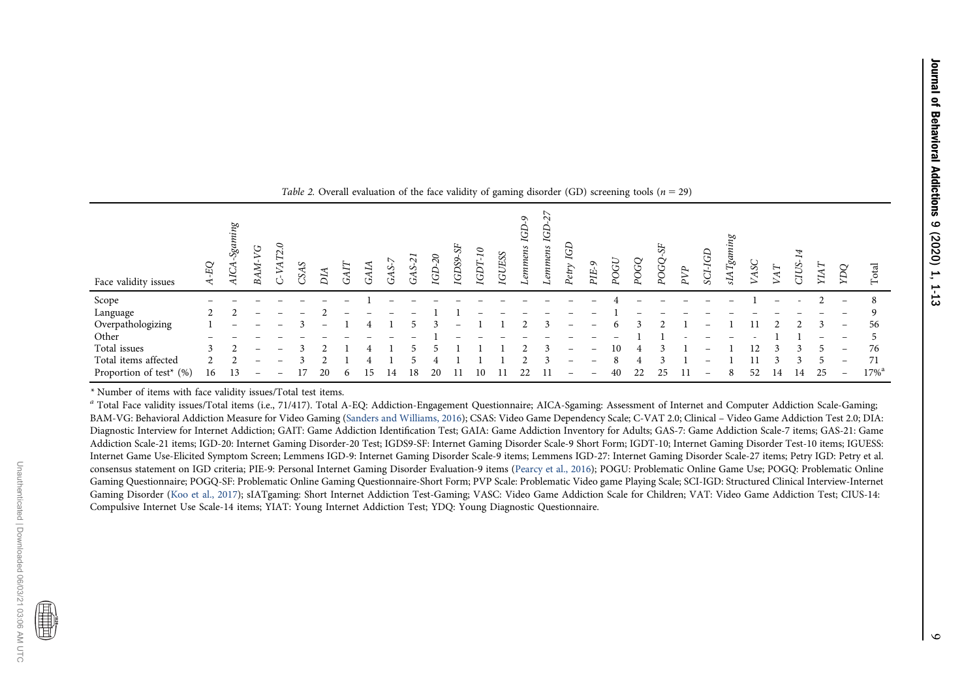|                         |         |                            |              |            |  |    |             |                                |              | $\overline{\phantom{a}}$ | $\overline{\phantom{0}}$ | $\overline{\phantom{a}}$        |                  |                |                 |      | ັ    |                 |     |                   |            |            |     |         |      |                          |                     |
|-------------------------|---------|----------------------------|--------------|------------|--|----|-------------|--------------------------------|--------------|--------------------------|--------------------------|---------------------------------|------------------|----------------|-----------------|------|------|-----------------|-----|-------------------|------------|------------|-----|---------|------|--------------------------|---------------------|
| Face validity issues    | ЕQ<br>◅ | ing<br>Sgam<br>$\tilde{H}$ | 54<br>Z<br>ă | <b>SAS</b> |  | Ó  | $\sim$<br>∽ | $\overline{\mathcal{E}}$<br>GD | 55<br>IGDS9. | っ<br>⊣<br>GDT-           | <b>GUESS</b>             | $\sigma$<br><b>GD</b><br>ennens | ↖<br>S<br>enmens | ΙGΙ<br>$Petry$ | $\circ$<br>PIE- | POGI | POGQ | ∽<br><b>DOG</b> | PVP | <b>GD</b><br>SCI. | ATgai<br>∽ | <b>ASC</b> | VAT | CIUS-   | YIAT | pа                       | Total               |
| Scope                   |         |                            |              |            |  |    |             |                                |              |                          |                          |                                 |                  |                |                 |      |      |                 |     |                   |            |            |     |         |      |                          | -8                  |
| Language                | $2^{1}$ |                            |              |            |  |    |             |                                |              |                          |                          |                                 |                  |                |                 |      |      |                 |     |                   |            |            |     |         |      |                          | 9                   |
| Overpathologizing       |         |                            |              |            |  |    |             |                                |              |                          |                          |                                 |                  |                |                 |      |      |                 |     |                   |            |            |     |         |      | $\overline{\phantom{m}}$ | 56                  |
| Other                   |         |                            |              |            |  |    |             |                                |              |                          |                          |                                 |                  |                |                 |      |      |                 |     |                   |            |            |     |         |      | $\qquad \qquad$          |                     |
| Total issues            |         |                            |              |            |  |    |             |                                |              |                          |                          |                                 |                  |                |                 | 10   |      |                 |     |                   |            |            |     |         |      | $\overline{\phantom{m}}$ | 76                  |
| Total items affected    |         |                            |              |            |  |    |             |                                |              |                          |                          |                                 |                  |                | -               | 8    |      |                 |     |                   |            |            |     | $\prec$ |      | $\overline{\phantom{m}}$ | 71                  |
| Proportion of test* (%) | 16      | 13                         |              |            |  | 14 | 18          | 20                             | 11           | 10                       |                          | 22                              |                  |                |                 | 40   | 22   | 25              |     |                   |            | 52         | 14  | 14      | 25   | $\overline{\phantom{m}}$ | $17\%$ <sup>a</sup> |
|                         |         |                            |              |            |  |    |             |                                |              |                          |                          |                                 |                  |                |                 |      |      |                 |     |                   |            |            |     |         |      |                          |                     |

<span id="page-8-0"></span>

| Table 2. Overall evaluation of the face validity of gaming disorder (GD) screening tools ( $n = 29$ ) |  |  |  |
|-------------------------------------------------------------------------------------------------------|--|--|--|
|-------------------------------------------------------------------------------------------------------|--|--|--|

\* Number of items with face validity issues/Total test items.

<sup>a</sup> Total Face validity issues/Total items (i.e., 71/417). Total A-EQ: Addiction-Engagement Questionnaire; AICA-Sgaming: Assessment of Internet and Computer Addiction Scale-Gaming; BAM-VG: Behavioral Addiction Measure for Video Gaming (Sanders and [Williams,](#page-12-28) 2016); CSAS: Video Game Dependency Scale; C-VAT 2.0; Clinical – Video Game Addiction Test 2.0; DIA: Diagnostic Interview for Internet Addiction; GAIT: Game Addiction Identification Test; GAIA: Game Addiction Inventory for Adults; GAS-7: Game Addiction Scale-7 items; GAS-21: Game Addiction Scale-21 items; IGD-20: Internet Gaming Disorder-20 Test; IGDS9-SF: Internet Gaming Disorder Scale-9 Short Form; IGDT-10; Internet Gaming Disorder Test-10 items; IGUESS: Internet Game Use-Elicited Symptom Screen; Lemmens IGD-9: Internet Gaming Disorder Scale-9 items; Lemmens IGD-27: Internet Gaming Disorder Scale-27 items; Petry IGD: Petry et al. consensus statement on IGD criteria; PIE-9: Personal Internet Gaming Disorder Evaluation-9 items ([Pearcy](#page-11-28) et al., 2016); POGU: Problematic Online Game Use; POGQ: Problematic Online Gaming Questionnaire; POGQ-SF: Problematic Online Gaming Questionnaire-Short Form; PVP Scale: Problematic Video game Playing Scale; SCI-IGD: Structured Clinical Interview-Internet Gaming Disorder (Koo et al., [2017](#page-11-29)); sIATgaming: Short Internet Addiction Test-Gaming; VASC: Video Game Addiction Scale for Children; VAT: Video Game Addiction Test; CIUS-14: Compulsive Internet Use Scale-14 items; YIAT: Young Internet Addiction Test; YDQ: Young Diagnostic Questionnaire.

僵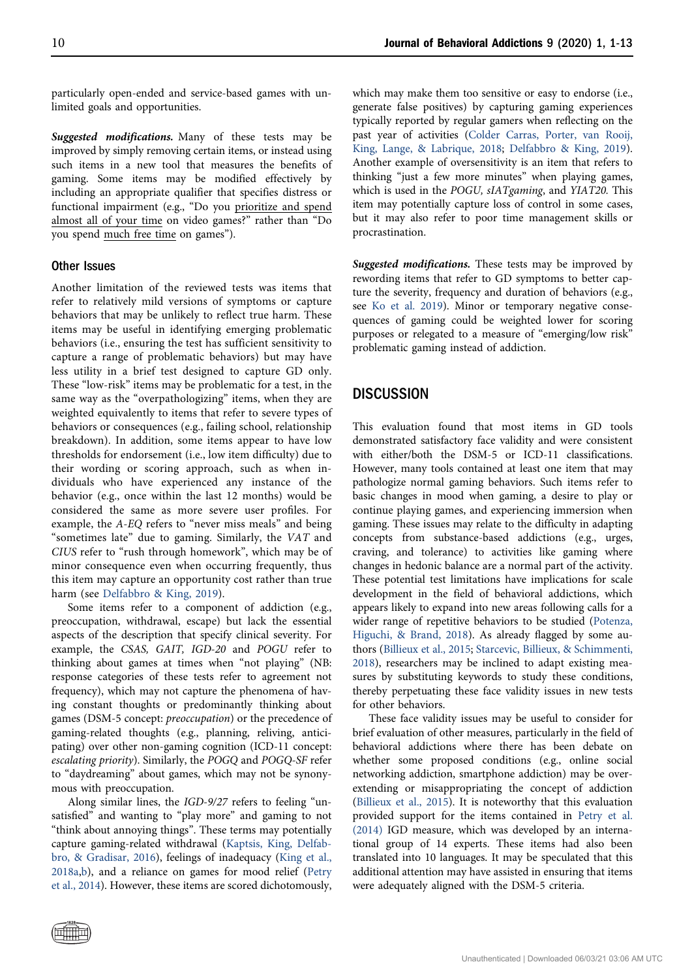particularly open-ended and service-based games with unlimited goals and opportunities.

Suggested modifications. Many of these tests may be improved by simply removing certain items, or instead using such items in a new tool that measures the benefits of gaming. Some items may be modified effectively by including an appropriate qualifier that specifies distress or functional impairment (e.g., "Do you prioritize and spend almost all of your time on video games?" rather than "Do you spend much free time on games").

#### Other Issues

Another limitation of the reviewed tests was items that refer to relatively mild versions of symptoms or capture behaviors that may be unlikely to reflect true harm. These items may be useful in identifying emerging problematic behaviors (i.e., ensuring the test has sufficient sensitivity to capture a range of problematic behaviors) but may have less utility in a brief test designed to capture GD only. These "low-risk" items may be problematic for a test, in the same way as the "overpathologizing" items, when they are weighted equivalently to items that refer to severe types of behaviors or consequences (e.g., failing school, relationship breakdown). In addition, some items appear to have low thresholds for endorsement (i.e., low item difficulty) due to their wording or scoring approach, such as when individuals who have experienced any instance of the behavior (e.g., once within the last 12 months) would be considered the same as more severe user profiles. For example, the A-EQ refers to "never miss meals" and being "sometimes late" due to gaming. Similarly, the VAT and CIUS refer to "rush through homework", which may be of minor consequence even when occurring frequently, thus this item may capture an opportunity cost rather than true harm (see [Delfabbro & King, 2019\)](#page-10-12).

Some items refer to a component of addiction (e.g., preoccupation, withdrawal, escape) but lack the essential aspects of the description that specify clinical severity. For example, the CSAS, GAIT, IGD-20 and POGU refer to thinking about games at times when "not playing" (NB: response categories of these tests refer to agreement not frequency), which may not capture the phenomena of having constant thoughts or predominantly thinking about games (DSM-5 concept: preoccupation) or the precedence of gaming-related thoughts (e.g., planning, reliving, anticipating) over other non-gaming cognition (ICD-11 concept: escalating priority). Similarly, the POGQ and POGQ-SF refer to "daydreaming" about games, which may not be synonymous with preoccupation.

Along similar lines, the IGD-9/27 refers to feeling "unsatisfied" and wanting to "play more" and gaming to not "think about annoying things". These terms may potentially capture gaming-related withdrawal ([Kaptsis, King, Delfab](#page-11-30)[bro, & Gradisar, 2016\)](#page-11-30), feelings of inadequacy [\(King et al.,](#page-11-3) [2018a,](#page-11-3)[b](#page-11-2)), and a reliance on games for mood relief [\(Petry](#page-11-7) [et al., 2014\)](#page-11-7). However, these items are scored dichotomously,

which may make them too sensitive or easy to endorse (i.e., generate false positives) by capturing gaming experiences typically reported by regular gamers when reflecting on the past year of activities [\(Colder Carras, Porter, van Rooij,](#page-10-13) [King, Lange, & Labrique, 2018;](#page-10-13) [Delfabbro & King, 2019\)](#page-10-12). Another example of oversensitivity is an item that refers to thinking "just a few more minutes" when playing games, which is used in the POGU, sIATgaming, and YIAT20. This item may potentially capture loss of control in some cases, but it may also refer to poor time management skills or procrastination.

Suggested modifications. These tests may be improved by rewording items that refer to GD symptoms to better capture the severity, frequency and duration of behaviors (e.g., see [Ko et al. 2019\)](#page-11-5). Minor or temporary negative consequences of gaming could be weighted lower for scoring purposes or relegated to a measure of "emerging/low risk" problematic gaming instead of addiction.

# **DISCUSSION**

This evaluation found that most items in GD tools demonstrated satisfactory face validity and were consistent with either/both the DSM-5 or ICD-11 classifications. However, many tools contained at least one item that may pathologize normal gaming behaviors. Such items refer to basic changes in mood when gaming, a desire to play or continue playing games, and experiencing immersion when gaming. These issues may relate to the difficulty in adapting concepts from substance-based addictions (e.g., urges, craving, and tolerance) to activities like gaming where changes in hedonic balance are a normal part of the activity. These potential test limitations have implications for scale development in the field of behavioral addictions, which appears likely to expand into new areas following calls for a wider range of repetitive behaviors to be studied ([Potenza,](#page-12-29) [Higuchi, & Brand, 2018\)](#page-12-29). As already flagged by some authors ([Billieux et al., 2015](#page-10-10); [Starcevic, Billieux, & Schimmenti,](#page-12-30) [2018](#page-12-30)), researchers may be inclined to adapt existing measures by substituting keywords to study these conditions, thereby perpetuating these face validity issues in new tests for other behaviors.

These face validity issues may be useful to consider for brief evaluation of other measures, particularly in the field of behavioral addictions where there has been debate on whether some proposed conditions (e.g., online social networking addiction, smartphone addiction) may be overextending or misappropriating the concept of addiction ([Billieux et al., 2015\)](#page-10-10). It is noteworthy that this evaluation provided support for the items contained in [Petry et al.](#page-11-7) [\(2014\)](#page-11-7) IGD measure, which was developed by an international group of 14 experts. These items had also been translated into 10 languages. It may be speculated that this additional attention may have assisted in ensuring that items were adequately aligned with the DSM-5 criteria.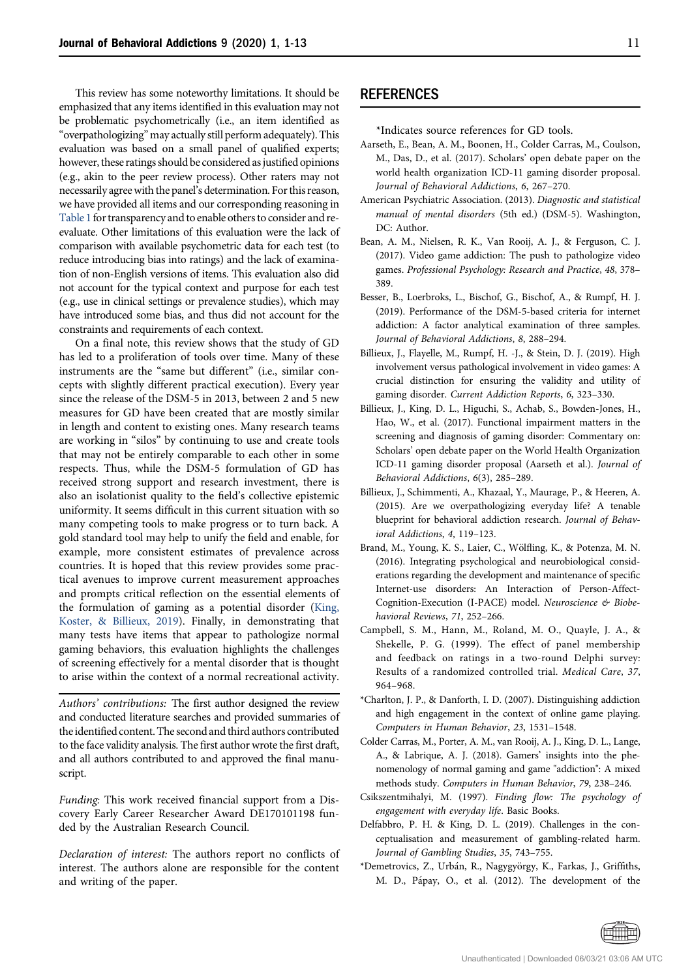This review has some noteworthy limitations. It should be emphasized that any items identified in this evaluation may not be problematic psychometrically (i.e., an item identified as "overpathologizing" may actually still perform adequately). This evaluation was based on a small panel of qualified experts; however, these ratings should be considered as justified opinions (e.g., akin to the peer review process). Other raters may not necessarily agree with the panel's determination. For this reason, we have provided all items and our corresponding reasoning in Table 1 for transparency and to enable others to consider and reevaluate. Other limitations of this evaluation were the lack of comparison with available psychometric data for each test (to reduce introducing bias into ratings) and the lack of examination of non-English versions of items. This evaluation also did not account for the typical context and purpose for each test (e.g., use in clinical settings or prevalence studies), which may have introduced some bias, and thus did not account for the constraints and requirements of each context.

<span id="page-10-9"></span>On a final note, this review shows that the study of GD has led to a proliferation of tools over time. Many of these instruments are the "same but different" (i.e., similar concepts with slightly different practical execution). Every year since the release of the DSM-5 in 2013, between 2 and 5 new measures for GD have been created that are mostly similar in length and content to existing ones. Many research teams are working in "silos" by continuing to use and create tools that may not be entirely comparable to each other in some respects. Thus, while the DSM-5 formulation of GD has received strong support and research investment, there is also an isolationist quality to the field's collective epistemic uniformity. It seems difficult in this current situation with so many competing tools to make progress or to turn back. A gold standard tool may help to unify the field and enable, for example, more consistent estimates of prevalence across countries. It is hoped that this review provides some practical avenues to improve current measurement approaches and prompts critical reflection on the essential elements of the formulation of gaming as a potential disorder [\(King,](#page-11-31) [Koster, & Billieux, 2019\)](#page-11-31). Finally, in demonstrating that many tests have items that appear to pathologize normal gaming behaviors, this evaluation highlights the challenges of screening effectively for a mental disorder that is thought to arise within the context of a normal recreational activity.

Authors' contributions: The first author designed the review and conducted literature searches and provided summaries of the identified content. The second and third authors contributed to the face validity analysis. The first author wrote the first draft, and all authors contributed to and approved the final manuscript.

Funding: This work received financial support from a Discovery Early Career Researcher Award DE170101198 funded by the Australian Research Council.

Declaration of interest: The authors report no conflicts of interest. The authors alone are responsible for the content and writing of the paper.

# **REFERENCES**

\*Indicates source references for GD tools.

- <span id="page-10-2"></span>Aarseth, E., Bean, A. M., Boonen, H., Colder Carras, M., Coulson, M., Das, D., et al. (2017). Scholars' open debate paper on the world health organization ICD-11 gaming disorder proposal. Journal of Behavioral Addictions, 6, 267–270.
- <span id="page-10-0"></span>American Psychiatric Association. (2013). Diagnostic and statistical manual of mental disorders (5th ed.) (DSM-5). Washington, DC: Author.
- <span id="page-10-3"></span>Bean, A. M., Nielsen, R. K., Van Rooij, A. J., & Ferguson, C. J. (2017). Video game addiction: The push to pathologize video games. Professional Psychology: Research and Practice, 48, 378– 389.
- <span id="page-10-6"></span>Besser, B., Loerbroks, L., Bischof, G., Bischof, A., & Rumpf, H. J. (2019). Performance of the DSM-5-based criteria for internet addiction: A factor analytical examination of three samples. Journal of Behavioral Addictions, 8, 288–294.
- <span id="page-10-8"></span><span id="page-10-4"></span>Billieux, J., Flayelle, M., Rumpf, H. -J., & Stein, D. J. (2019). High involvement versus pathological involvement in video games: A crucial distinction for ensuring the validity and utility of gaming disorder. Current Addiction Reports, 6, 323–330.
- <span id="page-10-7"></span>Billieux, J., King, D. L., Higuchi, S., Achab, S., Bowden-Jones, H., Hao, W., et al. (2017). Functional impairment matters in the screening and diagnosis of gaming disorder: Commentary on: Scholars' open debate paper on the World Health Organization ICD-11 gaming disorder proposal (Aarseth et al.). Journal of Behavioral Addictions, 6(3), 285–289.
- <span id="page-10-10"></span>Billieux, J., Schimmenti, A., Khazaal, Y., Maurage, P., & Heeren, A. (2015). Are we overpathologizing everyday life? A tenable blueprint for behavioral addiction research. Journal of Behavioral Addictions, 4, 119–123.
- <span id="page-10-1"></span>Brand, M., Young, K. S., Laier, C., Wölfling, K., & Potenza, M. N. (2016). Integrating psychological and neurobiological considerations regarding the development and maintenance of specific Internet-use disorders: An Interaction of Person-Affect-Cognition-Execution (I-PACE) model. Neuroscience & Biobehavioral Reviews, 71, 252–266.
- <span id="page-10-5"></span>Campbell, S. M., Hann, M., Roland, M. O., Quayle, J. A., & Shekelle, P. G. (1999). The effect of panel membership and feedback on ratings in a two-round Delphi survey: Results of a randomized controlled trial. Medical Care, 37, 964–968.
- \*Charlton, J. P., & Danforth, I. D. (2007). Distinguishing addiction and high engagement in the context of online game playing. Computers in Human Behavior, 23, 1531–1548.
- <span id="page-10-13"></span>Colder Carras, M., Porter, A. M., van Rooij, A. J., King, D. L., Lange, A., & Labrique, A. J. (2018). Gamers' insights into the phenomenology of normal gaming and game "addiction": A mixed methods study. Computers in Human Behavior, 79, 238–246.
- <span id="page-10-11"></span>Csikszentmihalyi, M. (1997). Finding flow: The psychology of engagement with everyday life. Basic Books.
- <span id="page-10-12"></span>Delfabbro, P. H. & King, D. L. (2019). Challenges in the conceptualisation and measurement of gambling-related harm. Journal of Gambling Studies, 35, 743–755.
- \*Demetrovics, Z., Urbán, R., Nagygyörgy, K., Farkas, J., Griffiths, M. D., Pápay, O., et al. (2012). The development of the

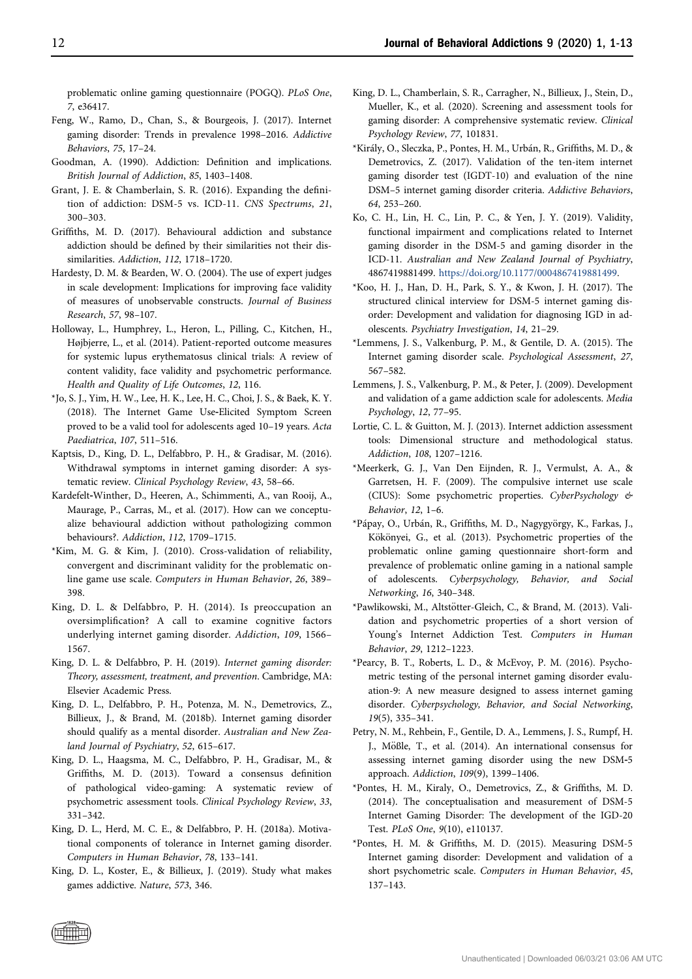problematic online gaming questionnaire (POGQ). PLoS One, 7, e36417.

- <span id="page-11-0"></span>Feng, W., Ramo, D., Chan, S., & Bourgeois, J. (2017). Internet gaming disorder: Trends in prevalence 1998–2016. Addictive Behaviors, 75, 17–24.
- <span id="page-11-12"></span>Goodman, A. (1990). Addiction: Definition and implications. British Journal of Addiction, 85, 1403–1408.
- <span id="page-11-14"></span>Grant, J. E. & Chamberlain, S. R. (2016). Expanding the definition of addiction: DSM-5 vs. ICD-11. CNS Spectrums, 21, 300–303.
- <span id="page-11-13"></span>Griffiths, M. D. (2017). Behavioural addiction and substance addiction should be defined by their similarities not their dissimilarities. Addiction, 112, 1718–1720.
- <span id="page-11-9"></span>Hardesty, D. M. & Bearden, W. O. (2004). The use of expert judges in scale development: Implications for improving face validity of measures of unobservable constructs. Journal of Business Research, 57, 98–107.
- <span id="page-11-20"></span><span id="page-11-8"></span>Holloway, L., Humphrey, L., Heron, L., Pilling, C., Kitchen, H., Højbjerre, L., et al. (2014). Patient-reported outcome measures for systemic lupus erythematosus clinical trials: A review of content validity, face validity and psychometric performance. Health and Quality of Life Outcomes, 12, 116.
- \*Jo, S. J., Yim, H. W., Lee, H. K., Lee, H. C., Choi, J. S., & Baek, K. Y. (2018). The Internet Game Use-Elicited Symptom Screen proved to be a valid tool for adolescents aged 10–19 years. Acta Paediatrica, 107, 511–516.
- <span id="page-11-30"></span>Kaptsis, D., King, D. L., Delfabbro, P. H., & Gradisar, M. (2016). Withdrawal symptoms in internet gaming disorder: A systematic review. Clinical Psychology Review, 43, 58–66.
- <span id="page-11-15"></span>Kardefelt‐Winther, D., Heeren, A., Schimmenti, A., van Rooij, A., Maurage, P., Carras, M., et al. (2017). How can we conceptualize behavioural addiction without pathologizing common behaviours?. Addiction, 112, 1709–1715.
- <span id="page-11-16"></span>\*Kim, M. G. & Kim, J. (2010). Cross-validation of reliability, convergent and discriminant validity for the problematic online game use scale. Computers in Human Behavior, 26, 389– 398.
- <span id="page-11-4"></span>King, D. L. & Delfabbro, P. H. (2014). Is preoccupation an oversimplification? A call to examine cognitive factors underlying internet gaming disorder. Addiction, 109, 1566– 1567.
- <span id="page-11-10"></span>King, D. L. & Delfabbro, P. H. (2019). Internet gaming disorder: Theory, assessment, treatment, and prevention. Cambridge, MA: Elsevier Academic Press.
- <span id="page-11-2"></span>King, D. L., Delfabbro, P. H., Potenza, M. N., Demetrovics, Z., Billieux, J., & Brand, M. (2018b). Internet gaming disorder should qualify as a mental disorder. Australian and New Zealand Journal of Psychiatry, 52, 615–617.
- <span id="page-11-6"></span>King, D. L., Haagsma, M. C., Delfabbro, P. H., Gradisar, M., & Griffiths, M. D. (2013). Toward a consensus definition of pathological video-gaming: A systematic review of psychometric assessment tools. Clinical Psychology Review, 33, 331–342.
- <span id="page-11-3"></span>King, D. L., Herd, M. C. E., & Delfabbro, P. H. (2018a). Motivational components of tolerance in Internet gaming disorder. Computers in Human Behavior, 78, 133–141.
- <span id="page-11-31"></span>King, D. L., Koster, E., & Billieux, J. (2019). Study what makes games addictive. Nature, 573, 346.
- <span id="page-11-24"></span><span id="page-11-22"></span><span id="page-11-1"></span>King, D. L., Chamberlain, S. R., Carragher, N., Billieux, J., Stein, D., Mueller, K., et al. (2020). Screening and assessment tools for gaming disorder: A comprehensive systematic review. Clinical Psychology Review, 77, 101831.
- \*Király, O., Sleczka, P., Pontes, H. M., Urbán, R., Griffiths, M. D., & Demetrovics, Z. (2017). Validation of the ten-item internet gaming disorder test (IGDT-10) and evaluation of the nine DSM–5 internet gaming disorder criteria. Addictive Behaviors, 64, 253–260.
- <span id="page-11-5"></span>Ko, C. H., Lin, H. C., Lin, P. C., & Yen, J. Y. (2019). Validity, functional impairment and complications related to Internet gaming disorder in the DSM-5 and gaming disorder in the ICD-11. Australian and New Zealand Journal of Psychiatry, 4867419881499. <https://doi.org/10.1177/0004867419881499>.
- \*Koo, H. J., Han, D. H., Park, S. Y., & Kwon, J. H. (2017). The structured clinical interview for DSM-5 internet gaming disorder: Development and validation for diagnosing IGD in adolescents. Psychiatry Investigation, 14, 21–29.
- <span id="page-11-29"></span><span id="page-11-28"></span><span id="page-11-27"></span><span id="page-11-26"></span><span id="page-11-25"></span><span id="page-11-23"></span><span id="page-11-21"></span><span id="page-11-19"></span><span id="page-11-18"></span>\*Lemmens, J. S., Valkenburg, P. M., & Gentile, D. A. (2015). The Internet gaming disorder scale. Psychological Assessment, 27, 567–582.
- Lemmens, J. S., Valkenburg, P. M., & Peter, J. (2009). Development and validation of a game addiction scale for adolescents. Media Psychology, 12, 77–95.
- <span id="page-11-11"></span>Lortie, C. L. & Guitton, M. J. (2013). Internet addiction assessment tools: Dimensional structure and methodological status. Addiction, 108, 1207–1216.
- \*Meerkerk, G. J., Van Den Eijnden, R. J., Vermulst, A. A., & Garretsen, H. F. (2009). The compulsive internet use scale (CIUS): Some psychometric properties. CyberPsychology & Behavior, 12, 1–6.
- <span id="page-11-17"></span>\*Pápay, O., Urbán, R., Griffiths, M. D., Nagygyörgy, K., Farkas, J., Kökönyei, G., et al. (2013). Psychometric properties of the problematic online gaming questionnaire short-form and prevalence of problematic online gaming in a national sample of adolescents. Cyberpsychology, Behavior, and Social Networking, 16, 340–348.
- \*Pawlikowski, M., Altst€otter-Gleich, C., & Brand, M. (2013). Validation and psychometric properties of a short version of Young's Internet Addiction Test. Computers in Human Behavior, 29, 1212–1223.
- \*Pearcy, B. T., Roberts, L. D., & McEvoy, P. M. (2016). Psychometric testing of the personal internet gaming disorder evaluation-9: A new measure designed to assess internet gaming disorder. Cyberpsychology, Behavior, and Social Networking, 19(5), 335–341.
- <span id="page-11-7"></span>Petry, N. M., Rehbein, F., Gentile, D. A., Lemmens, J. S., Rumpf, H. J., Mößle, T., et al. (2014). An international consensus for assessing internet gaming disorder using the new DSM‐5 approach. Addiction, 109(9), 1399–1406.
- \*Pontes, H. M., Kiraly, O., Demetrovics, Z., & Griffiths, M. D. (2014). The conceptualisation and measurement of DSM-5 Internet Gaming Disorder: The development of the IGD-20 Test. PLoS One, 9(10), e110137.
- \*Pontes, H. M. & Griffiths, M. D. (2015). Measuring DSM-5 Internet gaming disorder: Development and validation of a short psychometric scale. Computers in Human Behavior, 45, 137–143.